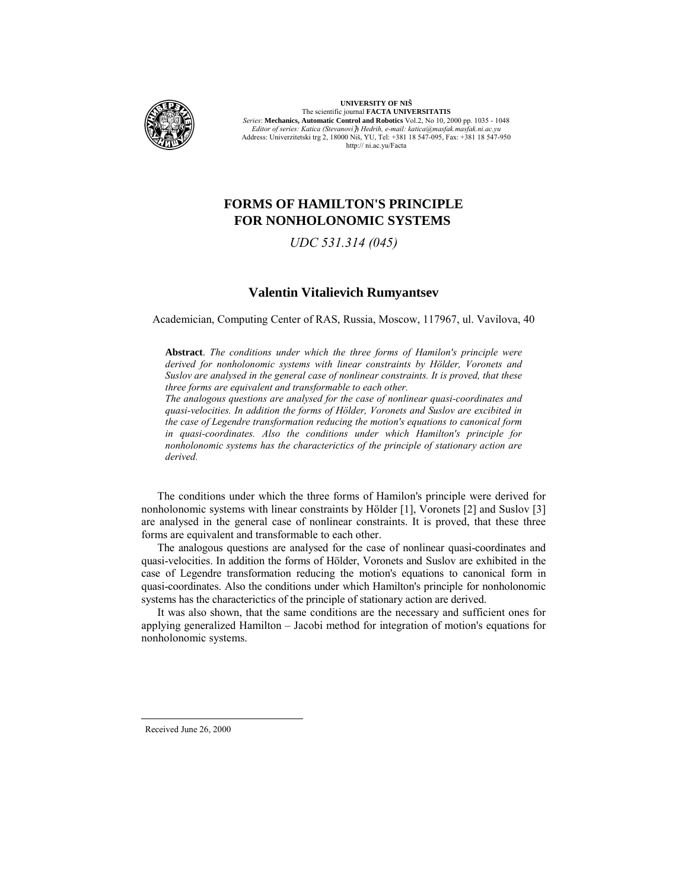

**UNIVERSITY OF NIŠ** The scientific journal **FACTA UNIVERSITATIS** *Series*: **Mechanics, Automatic Control and Robotics** Vol.2, No 10, 2000 pp. 1035 - 1048 *Editor of series: Katica (Stevanovi*}) *Hedrih, e-mail: katica@masfak.masfak.ni.ac.yu* Address: Univerzitetski trg 2, 18000 Niš, YU, Tel: +381 18 547-095, Fax: +381 18 547-950 http:// ni.ac.yu/Facta

# **FORMS OF HAMILTON'S PRINCIPLE FOR NONHOLONOMIC SYSTEMS**

## *UDC 531.314 (045)*

## **Valentin Vitalievich Rumyantsev**

Academician, Computing Center of RAS, Russia, Moscow, 117967, ul. Vavilova, 40

**Abstract**. *The conditions under which the three forms of Hamilon's principle were derived for nonholonomic systems with linear constraints by Hölder, Voronets and Suslov are analysed in the general case of nonlinear constraints. It is proved, that these three forms are equivalent and transformable to each other.*

*The analogous questions are analysed for the case of nonlinear quasi-coordinates and quasi-velocities. In addition the forms of Hölder, Voronets and Suslov are excibited in the case of Legendre transformation reducing the motion's equations to canonical form in quasi-coordinates. Also the conditions under which Hamilton's principle for nonholonomic systems has the characterictics of the principle of stationary action are derived.*

The conditions under which the three forms of Hamilon's principle were derived for nonholonomic systems with linear constraints by Hölder [1], Voronets [2] and Suslov [3] are analysed in the general case of nonlinear constraints. It is proved, that these three forms are equivalent and transformable to each other.

The analogous questions are analysed for the case of nonlinear quasi-coordinates and quasi-velocities. In addition the forms of Hölder, Voronets and Suslov are exhibited in the case of Legendre transformation reducing the motion's equations to canonical form in quasi-coordinates. Also the conditions under which Hamilton's principle for nonholonomic systems has the characterictics of the principle of stationary action are derived.

It was also shown, that the same conditions are the necessary and sufficient ones for applying generalized Hamilton – Jacobi method for integration of motion's equations for nonholonomic systems.

Received June 26, 2000

-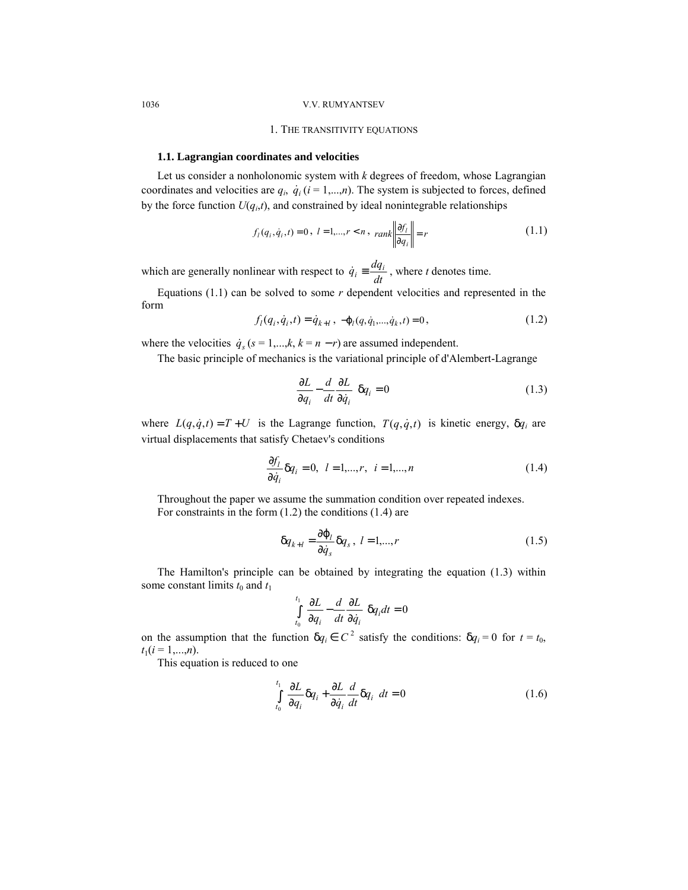## 1. THE TRANSITIVITY EQUATIONS

#### **1.1. Lagrangian coordinates and velocities**

Let us consider a nonholonomic system with *k* degrees of freedom, whose Lagrangian coordinates and velocities are  $q_i$ ,  $\dot{q}_i$  ( $i = 1,...,n$ ). The system is subjected to forces, defined by the force function  $U(q_i,t)$ , and constrained by ideal nonintegrable relationships

$$
f_l(q_i, \dot{q}_i, t) = 0, \ l = 1, \dots, r < n, \ \text{rank} \left\| \frac{\partial f_l}{\partial q_i} \right\| = r \tag{1.1}
$$

which are generally nonlinear with respect to  $\dot{q}_i \equiv \frac{dq_i}{dt}$ , where *t* denotes time.

Equations  $(1.1)$  can be solved to some  $r$  dependent velocities and represented in the form

$$
f_l(q_i, \dot{q}_i, t) = \dot{q}_{k+l}, \ -\varphi_l(q, \dot{q}_1, \dots, \dot{q}_k, t) = 0, \tag{1.2}
$$

where the velocities  $\dot{q}_s$  ( $s = 1,...,k$ ,  $k = n - r$ ) are assumed independent.

The basic principle of mechanics is the variational principle of d'Alembert-Lagrange

$$
\left(\frac{\partial L}{\partial q_i} - \frac{d}{dt} \frac{\partial L}{\partial \dot{q}_i}\right) q_i = 0 \tag{1.3}
$$

where  $L(q, \dot{q}, t) = T + U$  is the Lagrange function,  $T(q, \dot{q}, t)$  is kinetic energy,  $\delta q_i$  are virtual displacements that satisfy Chetaev's conditions

$$
\frac{\partial f_l}{\partial \dot{q}_i} \delta q_i = 0, \quad l = 1, \dots, r, \quad i = 1, \dots, n
$$
\n(1.4)

Throughout the paper we assume the summation condition over repeated indexes. For constraints in the form (1.2) the conditions (1.4) are

$$
\delta q_{k+l} = \frac{\partial \varphi_l}{\partial \dot{q}_s} \delta q_s, \ l = 1,...,r
$$
 (1.5)

The Hamilton's principle can be obtained by integrating the equation (1.3) within some constant limits  $t_0$  and  $t_1$ 

$$
\int_{t_0}^{t_1} \left( \frac{\partial L}{\partial q_i} - \frac{d}{dt} \frac{\partial L}{\partial \dot{q}_i} \right) q_i dt = 0
$$

on the assumption that the function  $\delta q_i \in C^2$  satisfy the conditions:  $\delta q_i = 0$  for  $t = t_0$ ,  $t_1(i=1,...,n)$ .

This equation is reduced to one

$$
\iint_{t_0}^{t_1} \left( \frac{\partial L}{\partial q_i} \delta q_i + \frac{\partial L}{\partial \dot{q}_i} \frac{d}{dt} \delta q_i \right) dt = 0
$$
\n(1.6)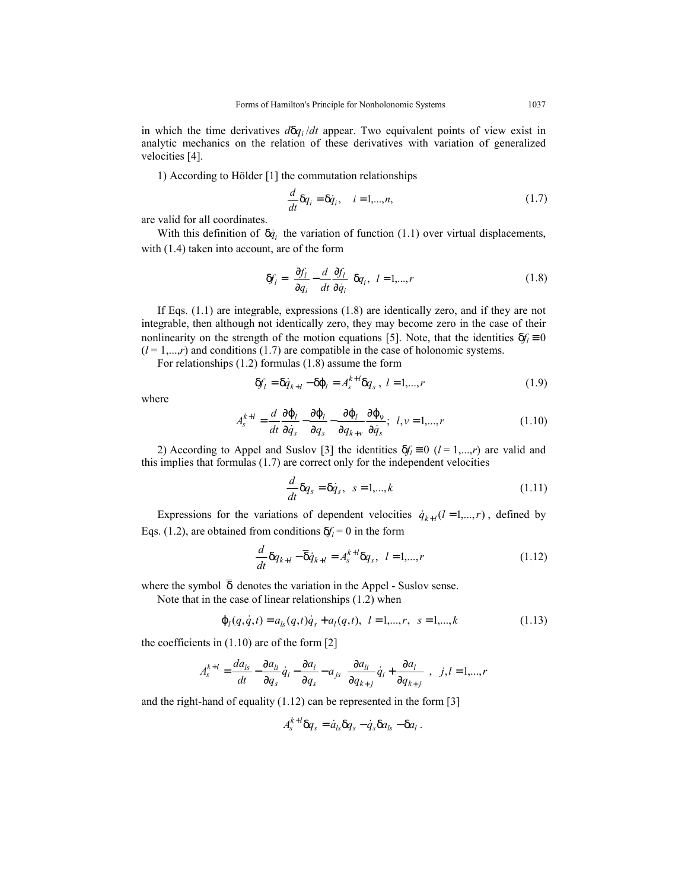in which the time derivatives  $d\delta q_i/dt$  appear. Two equivalent points of view exist in analytic mechanics on the relation of these derivatives with variation of generalized velocities [4].

1) According to Hölder [1] the commutation relationships

$$
\frac{d}{dt}\delta q_i = \delta \dot{q}_i, \quad i = 1,...,n,
$$
\n(1.7)

are valid for all coordinates.

With this definition of  $\delta \dot{q}_i$  the variation of function (1.1) over virtual displacements, with  $(1.4)$  taken into account, are of the form

$$
\delta f_l = \left(\frac{\partial f_l}{\partial q_i} - \frac{d}{dt} \frac{\partial f_l}{\partial \dot{q}_i}\right) \delta q_i, \quad l = 1,...,r
$$
\n(1.8)

If Eqs. (1.1) are integrable, expressions (1.8) are identically zero, and if they are not integrable, then although not identically zero, they may become zero in the case of their nonlinearity on the strength of the motion equations [5]. Note, that the identities  $\delta f_i = 0$  $(l = 1,...,r)$  and conditions (1.7) are compatible in the case of holonomic systems.

For relationships (1.2) formulas (1.8) assume the form

$$
\delta f_l = \delta \dot{q}_{k+l} - \delta \varphi_l = A_s^{k+l} \delta q_s, \ l = 1, \dots, r \tag{1.9}
$$

where

$$
A_{s}^{k+l} = \frac{d}{dt} \frac{\partial \varphi_{l}}{\partial \dot{q}_{s}} - \frac{\partial \varphi_{l}}{\partial q_{s}} - \frac{\partial \varphi_{l}}{\partial q_{k+v}} \frac{\partial \varphi_{v}}{\partial \dot{q}_{s}}; \quad l, v = 1,...,r
$$
\n(1.10)

2) According to Appel and Suslov [3] the identities  $\delta f_l = 0$  ( $l = 1,...,r$ ) are valid and this implies that formulas (1.7) are correct only for the independent velocities

$$
\frac{d}{dt}\delta q_s = \delta \dot{q}_s, \quad s = 1, \dots, k \tag{1.11}
$$

Expressions for the variations of dependent velocities  $\dot{q}_{k+l}(l=1,\ldots,r)$ , defined by Eqs. (1.2), are obtained from conditions  $\delta f_l = 0$  in the form

$$
\frac{d}{dt}\delta q_{k+l} - \overline{\delta} \dot{q}_{k+l} = A_{s}^{k+l} \delta q_{s}, \quad l = 1,...,r
$$
\n(1.12)

where the symbol  $\overline{\delta}$  denotes the variation in the Appel - Suslov sense.

Note that in the case of linear relationships (1.2) when

$$
\varphi_l(q, \dot{q}, t) = a_{ls}(q, t)\dot{q}_s + a_l(q, t), \quad l = 1, \dots, r, \quad s = 1, \dots, k \tag{1.13}
$$

the coefficients in  $(1.10)$  are of the form  $[2]$ 

$$
A_s^{k+l} = \frac{da_{ls}}{dt} - \frac{\partial a_{li}}{\partial q_s} \dot{q}_i - \frac{\partial a_l}{\partial q_s} - a_{js} \left( \frac{\partial a_{li}}{\partial q_{k+j}} \dot{q}_i + \frac{\partial a_l}{\partial q_{k+j}} \right) \quad j, l = 1, ..., r
$$

and the right-hand of equality (1.12) can be represented in the form [3]

$$
A_s^{k+l} \delta q_s = \dot{a}_{ls} \delta q_s - \dot{q}_s \delta a_{ls} - \delta a_l.
$$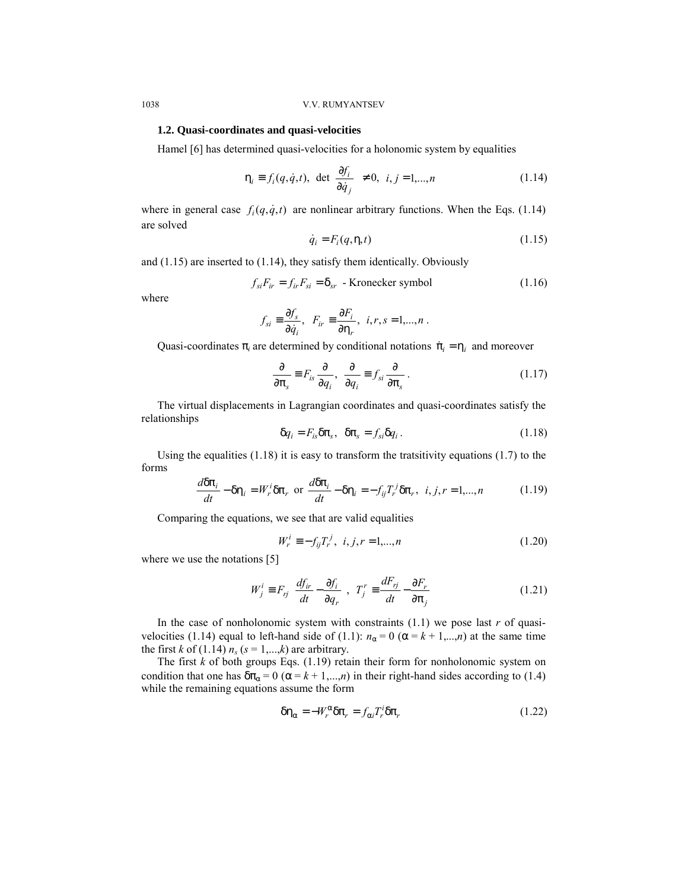### **1.2. Quasi-coordinates and quasi-velocities**

Hamel [6] has determined quasi-velocities for a holonomic system by equalities

$$
\eta_i \equiv f_i(q, \dot{q}, t), \ \det\left(\frac{\partial f_i}{\partial \dot{q}_j}\right) \neq 0, \ \ i, j = 1, \dots, n \tag{1.14}
$$

where in general case  $f_i(q, \dot{q}, t)$  are nonlinear arbitrary functions. When the Eqs. (1.14) are solved

$$
\dot{q}_i = F_i(q, \eta, t) \tag{1.15}
$$

and (1.15) are inserted to (1.14), they satisfy them identically. Obviously

$$
f_{si}F_{ir} = f_{ir}F_{si} = \delta_{sr} \text{ - Kronecker symbol} \qquad (1.16)
$$

where

$$
f_{si} \equiv \frac{\partial f_s}{\partial \dot{q}_i}, \ \ F_{ir} \equiv \frac{\partial F_i}{\partial \eta_r}, \ \ i, r, s = 1, ..., n \ .
$$

Quasi-coordinates  $\pi_i$  are determined by conditional notations  $\dot{\pi}_i = \eta_i$  and moreover

$$
\frac{\partial}{\partial \pi_s} \equiv F_{is} \frac{\partial}{\partial q_i}, \quad \frac{\partial}{\partial q_i} \equiv f_{si} \frac{\partial}{\partial \pi_s} \,. \tag{1.17}
$$

The virtual displacements in Lagrangian coordinates and quasi-coordinates satisfy the relationships

$$
\delta q_i = F_{is} \delta \pi_s, \quad \delta \pi_s = f_{si} \delta q_i. \tag{1.18}
$$

Using the equalities (1.18) it is easy to transform the tratsitivity equations (1.7) to the forms

$$
\frac{d\delta\pi_i}{dt} - \delta\eta_i = W_r^i \delta\pi_r \text{ or } \frac{d\delta\pi_i}{dt} - \delta\eta_i = -f_{ij}T_r^j \delta\pi_r, \ i, j, r = 1,...,n
$$
 (1.19)

Comparing the equations, we see that are valid equalities

$$
W_r^i = -f_{ij}T_r^j, \ \ i, j, r = 1,...,n \tag{1.20}
$$

where we use the notations [5]

$$
W_j^i \equiv F_{rj} \left( \frac{df_{ir}}{dt} - \frac{\partial f_i}{\partial q_r} \right) \ T_j^r \equiv \frac{dF_{rj}}{dt} - \frac{\partial F_r}{\partial \pi_j}
$$
 (1.21)

In the case of nonholonomic system with constraints  $(1.1)$  we pose last *r* of quasivelocities (1.14) equal to left-hand side of (1.1):  $n_\alpha = 0$  ( $\alpha = k + 1,...,n$ ) at the same time the first *k* of (1.14)  $n_s$  ( $s = 1,...,k$ ) are arbitrary.

The first  $k$  of both groups Eqs.  $(1.19)$  retain their form for nonholonomic system on condition that one has  $\delta \pi_{\alpha} = 0$  ( $\alpha = k + 1,...,n$ ) in their right-hand sides according to (1.4) while the remaining equations assume the form

$$
\delta \eta_{\alpha} = -W_r^{\alpha} \delta \pi_r = f_{\alpha i} T_r^i \delta \pi_r \tag{1.22}
$$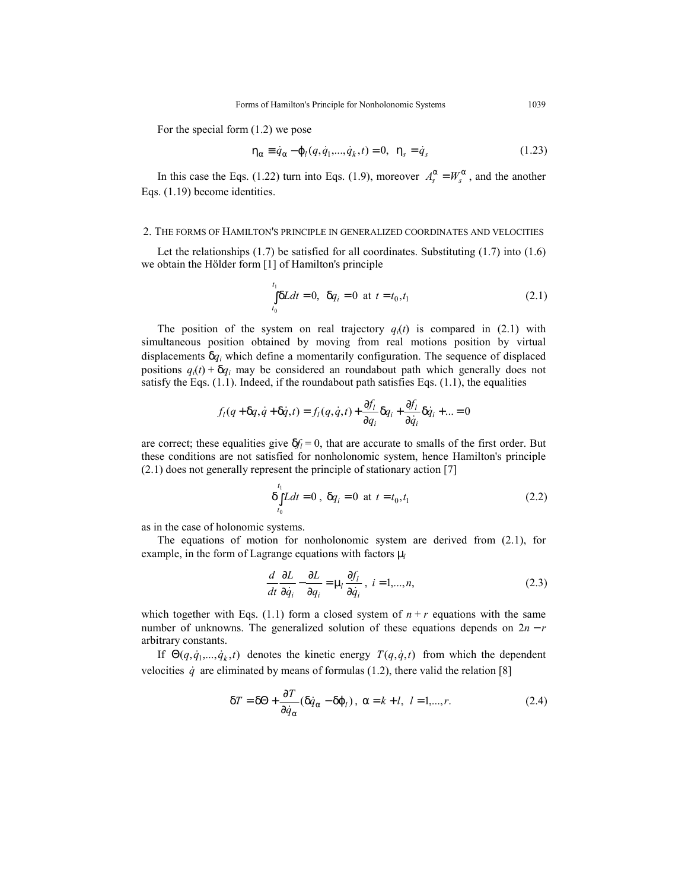For the special form (1.2) we pose

$$
\eta_{\alpha} \equiv \dot{q}_{\alpha} - \varphi_{l}(q, \dot{q}_{1},..., \dot{q}_{k}, t) = 0, \ \ \eta_{s} = \dot{q}_{s}
$$
(1.23)

In this case the Eqs. (1.22) turn into Eqs. (1.9), moreover  $A_s^{\alpha} = W_s^{\alpha}$ , and the another Eqs. (1.19) become identities.

## 2. THE FORMS OF HAMILTON'S PRINCIPLE IN GENERALIZED COORDINATES AND VELOCITIES

Let the relationships  $(1.7)$  be satisfied for all coordinates. Substituting  $(1.7)$  into  $(1.6)$ we obtain the Hölder form [1] of Hamilton's principle

$$
\int_{t_0}^{t_1} \delta L dt = 0, \ \ \delta q_i = 0 \ \ \text{at} \ \ t = t_0, t_1 \tag{2.1}
$$

The position of the system on real trajectory  $q_i(t)$  is compared in (2.1) with simultaneous position obtained by moving from real motions position by virtual displacements δ*qi* which define a momentarily configuration. The sequence of displaced positions  $q_i(t) + \delta q_i$  may be considered an roundabout path which generally does not satisfy the Eqs.  $(1.1)$ . Indeed, if the roundabout path satisfies Eqs.  $(1.1)$ , the equalities

$$
f_i(q+\delta q,\dot{q}+\delta \dot{q},t) = f_i(q,\dot{q},t) + \frac{\partial f_i}{\partial q_i} \delta q_i + \frac{\partial f_i}{\partial \dot{q}_i} \delta \dot{q}_i + \dots = 0
$$

are correct; these equalities give  $\delta f_l = 0$ , that are accurate to smalls of the first order. But these conditions are not satisfied for nonholonomic system, hence Hamilton's principle (2.1) does not generally represent the principle of stationary action [7]

$$
\delta \int_{t_0}^{t_1} L dt = 0 , \delta q_i = 0 \text{ at } t = t_0, t_1
$$
 (2.2)

as in the case of holonomic systems.

The equations of motion for nonholonomic system are derived from  $(2.1)$ , for example, in the form of Lagrange equations with factors  $\mu$ 

$$
\frac{d}{dt}\frac{\partial L}{\partial \dot{q}_i} - \frac{\partial L}{\partial q_i} = \mu_l \frac{\partial f_l}{\partial \dot{q}_i}, \ i = 1,...,n,
$$
\n(2.3)

which together with Eqs. (1.1) form a closed system of  $n + r$  equations with the same number of unknowns. The generalized solution of these equations depends on 2*n* − *r* arbitrary constants.

If  $\Theta(q, \dot{q}_1, \dots, \dot{q}_k, t)$  denotes the kinetic energy  $T(q, \dot{q}, t)$  from which the dependent velocities  $\dot{q}$  are eliminated by means of formulas (1.2), there valid the relation [8]

$$
\delta T = \delta \Theta + \frac{\partial T}{\partial \dot{q}_{\alpha}} (\delta \dot{q}_{\alpha} - \delta \varphi_{l}), \ \alpha = k + l, \ l = 1, ..., r.
$$
 (2.4)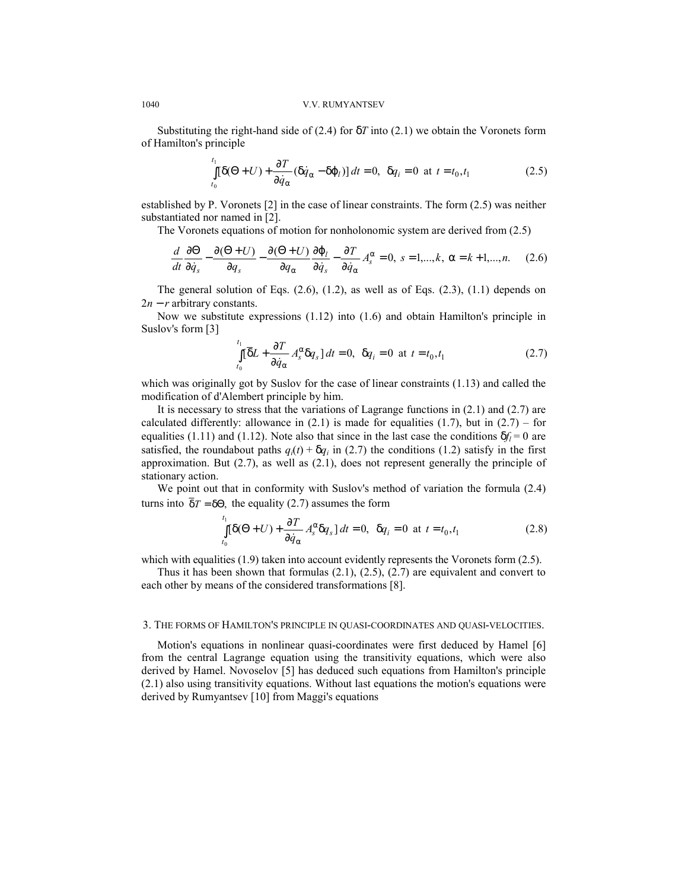Substituting the right-hand side of  $(2.4)$  for  $\delta T$  into  $(2.1)$  we obtain the Voronets form of Hamilton's principle

$$
\int_{t_0}^{t_1} [\delta(\Theta + U) + \frac{\partial T}{\partial \dot{q}_\alpha} (\delta \dot{q}_\alpha - \delta \varphi_l)] dt = 0, \ \ \delta q_i = 0 \ \ \text{at} \ \ t = t_0, t_1 \tag{2.5}
$$

established by P. Voronets [2] in the case of linear constraints. The form (2.5) was neither substantiated nor named in [2].

The Voronets equations of motion for nonholonomic system are derived from (2.5)

$$
\frac{d}{dt}\frac{\partial\Theta}{\partial\dot{q}_s} - \frac{\partial(\Theta+U)}{\partial q_s} - \frac{\partial(\Theta+U)}{\partial q_\alpha}\frac{\partial\varphi_l}{\partial\dot{q}_s} - \frac{\partial T}{\partial\dot{q}_\alpha}A_s^\alpha = 0, \ s = 1,...,k, \ \alpha = k+1,...,n. \tag{2.6}
$$

The general solution of Eqs. (2.6), (1.2), as well as of Eqs. (2.3), (1.1) depends on 2*n* − *r* arbitrary constants.

Now we substitute expressions (1.12) into (1.6) and obtain Hamilton's principle in Suslov's form [3]

$$
\int_{t_0}^{t_1} [\overline{\delta}L + \frac{\partial T}{\partial \dot{q}_{\alpha}} A_s^{\alpha} \delta q_s] dt = 0, \ \delta q_i = 0 \ \text{at} \ t = t_0, t_1 \tag{2.7}
$$

which was originally got by Suslov for the case of linear constraints (1.13) and called the modification of d'Alembert principle by him.

It is necessary to stress that the variations of Lagrange functions in  $(2.1)$  and  $(2.7)$  are calculated differently: allowance in  $(2.1)$  is made for equalities  $(1.7)$ , but in  $(2.7)$  – for equalities (1.11) and (1.12). Note also that since in the last case the conditions  $\delta f_l = 0$  are satisfied, the roundabout paths  $q_i(t) + \delta q_i$  in (2.7) the conditions (1.2) satisfy in the first approximation. But (2.7), as well as (2.1), does not represent generally the principle of stationary action.

We point out that in conformity with Suslov's method of variation the formula (2.4) turns into  $\overline{\delta}T = \delta\Theta$ , the equality (2.7) assumes the form

$$
\int_{t_0}^{t_1} [\delta(\Theta + U) + \frac{\partial T}{\partial \dot{q}_\alpha} A_s^\alpha \delta q_s] dt = 0, \ \ \delta q_i = 0 \ \ \text{at} \ \ t = t_0, t_1 \tag{2.8}
$$

which with equalities  $(1.9)$  taken into account evidently represents the Voronets form  $(2.5)$ .

Thus it has been shown that formulas  $(2.1)$ ,  $(2.5)$ ,  $(2.7)$  are equivalent and convert to each other by means of the considered transformations [8].

#### 3. THE FORMS OF HAMILTON'S PRINCIPLE IN QUASI-COORDINATES AND QUASI-VELOCITIES.

Motion's equations in nonlinear quasi-coordinates were first deduced by Hamel [6] from the central Lagrange equation using the transitivity equations, which were also derived by Hamel. Novoselov [5] has deduced such equations from Hamilton's principle (2.1) also using transitivity equations. Without last equations the motion's equations were derived by Rumyantsev [10] from Maggi's equations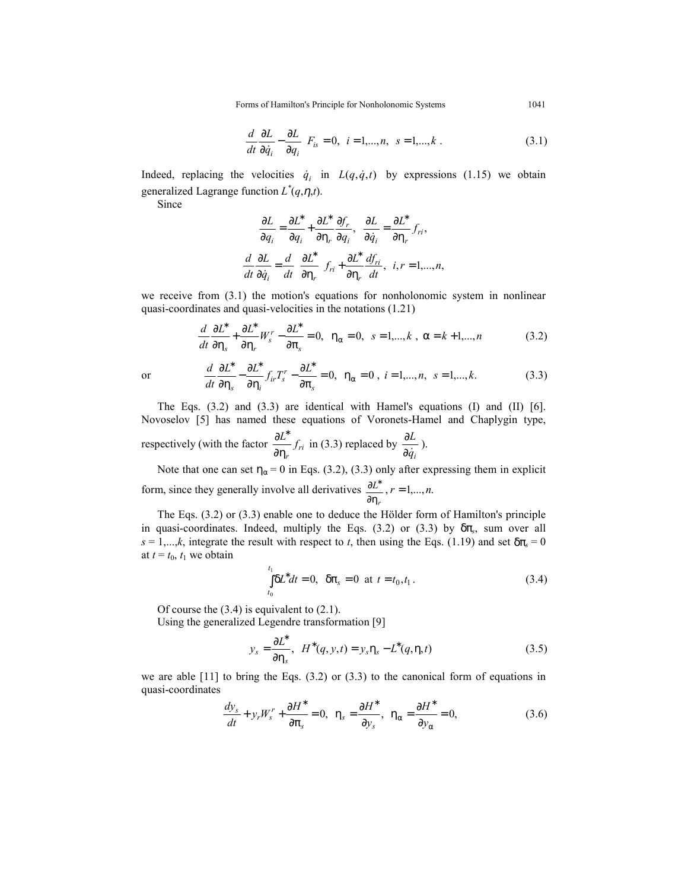Forms of Hamilton's Principle for Nonholonomic Systems 1041

$$
\left(\frac{d}{dt}\frac{\partial L}{\partial \dot{q}_i} - \frac{\partial L}{\partial q_i}\right) F_{is} = 0, \quad i = 1,...,n, \quad s = 1,...,k \tag{3.1}
$$

Indeed, replacing the velocities  $\dot{q}_i$  in  $L(q, \dot{q}, t)$  by expressions (1.15) we obtain generalized Lagrange function  $L^*(q, \eta, t)$ .

Since

$$
\frac{\partial L}{\partial q_i} = \frac{\partial L^*}{\partial q_i} + \frac{\partial L^*}{\partial \eta_r} \frac{\partial f_r}{\partial q_i}, \quad \frac{\partial L}{\partial \dot{q}_i} = \frac{\partial L^*}{\partial \eta_r} f_{ri},
$$

$$
\frac{d}{dt} \frac{\partial L}{\partial \dot{q}_i} = \frac{d}{dt} \left( \frac{\partial L^*}{\partial \eta_r} \right) f_{ri} + \frac{\partial L^*}{\partial \eta_r} \frac{df_{ri}}{dt}, \quad i, r = 1, \dots, n,
$$

we receive from (3.1) the motion's equations for nonholonomic system in nonlinear quasi-coordinates and quasi-velocities in the notations (1.21)

$$
\frac{d}{dt}\frac{\partial L^*}{\partial \eta_s} + \frac{\partial L^*}{\partial \eta_r}W_s^r - \frac{\partial L^*}{\partial \pi_s} = 0, \quad \eta_\alpha = 0, \quad s = 1,...,k \ , \ \alpha = k+1,...,n \tag{3.2}
$$

or 
$$
\frac{d}{dt}\frac{\partial L^*}{\partial \eta_s} - \frac{\partial L^*}{\partial \eta_i} f_{ir} T_s^r - \frac{\partial L^*}{\partial \pi_s} = 0, \ \ \eta_\alpha = 0 \ , \ i = 1,...,n, \ s = 1,...,k. \tag{3.3}
$$

The Eqs. (3.2) and (3.3) are identical with Hamel's equations (I) and (II) [6]. Novoselov [5] has named these equations of Voronets-Hamel and Chaplygin type, respectively (with the factor  $\frac{\partial L}{\partial \eta_r} f_{ri}$ *f L* ∂η  $\frac{\partial L^*}{\partial \eta_r} f_{ri}$  in (3.3) replaced by  $\frac{\partial L}{\partial \dot{q}_i}$ *L*  $\partial \dot q$  $\frac{\partial L}{\partial \cdot}$ ).

Note that one can set  $\eta_{\alpha} = 0$  in Eqs. (3.2), (3.3) only after expressing them in explicit form, since they generally involve all derivatives *r L* ∂η  $\frac{\partial L^*}{\partial r^*}$ ,  $r = 1,...,n$ .

The Eqs. (3.2) or (3.3) enable one to deduce the Hölder form of Hamilton's principle in quasi-coordinates. Indeed, multiply the Eqs. (3.2) or (3.3) by δπ*s*, sum over all  $s = 1,...,k$ , integrate the result with respect to *t*, then using the Eqs. (1.19) and set  $\delta \pi_s = 0$ at  $t = t_0$ ,  $t_1$  we obtain

$$
\int_{t_0}^{t_1} \delta L^* dt = 0, \quad \delta \pi_s = 0 \quad \text{at} \quad t = t_0, t_1 \,. \tag{3.4}
$$

Of course the (3.4) is equivalent to (2.1).

Using the generalized Legendre transformation [9]

$$
y_s = \frac{\partial L^*}{\partial \eta_s}, \quad H^*(q, y, t) = y_s \eta_s - L^*(q, \eta, t) \tag{3.5}
$$

we are able  $[11]$  to bring the Eqs.  $(3.2)$  or  $(3.3)$  to the canonical form of equations in quasi-coordinates

$$
\frac{dy_s}{dt} + y_r W_s' + \frac{\partial H^*}{\partial \pi_s} = 0, \ \ \eta_s = \frac{\partial H^*}{\partial y_s}, \ \ \eta_\alpha = \frac{\partial H^*}{\partial y_\alpha} = 0,
$$
\n(3.6)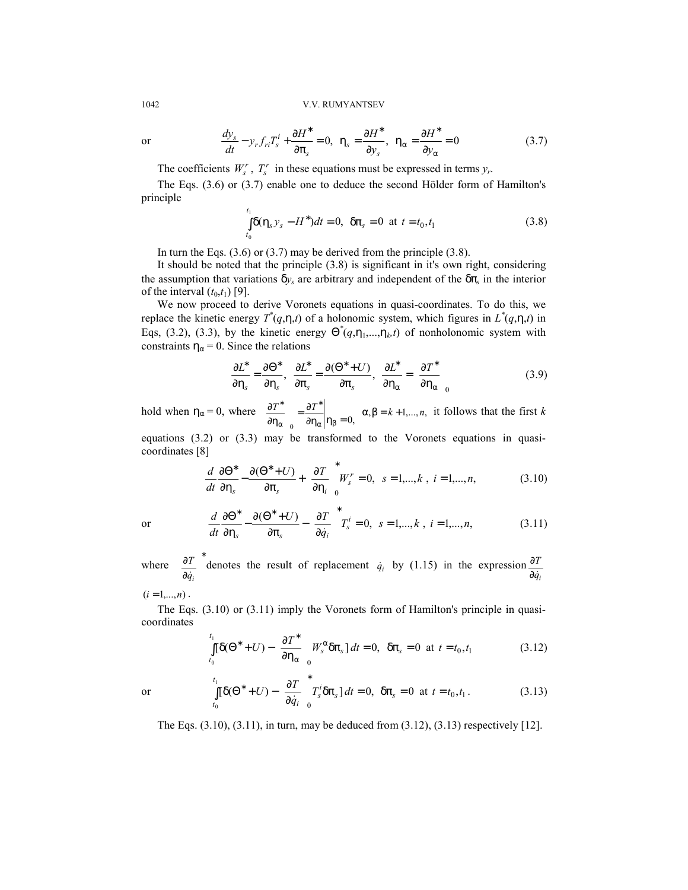or 
$$
\frac{dy_s}{dt} - y_r f_{ri} T_s^i + \frac{\partial H^*}{\partial \pi_s} = 0, \ \ \eta_s = \frac{\partial H^*}{\partial y_s}, \ \ \eta_\alpha = \frac{\partial H^*}{\partial y_\alpha} = 0
$$
 (3.7)

The coefficients  $W_s^r$ ,  $T_s^r$  in these equations must be expressed in terms  $y_r$ .

The Eqs. (3.6) or (3.7) enable one to deduce the second Hölder form of Hamilton's principle

$$
\int_{t_0}^{t_1} \delta(\eta_s y_s - H^*) dt = 0, \ \ \delta \pi_s = 0 \ \ \text{at} \ \ t = t_0, t_1 \tag{3.8}
$$

In turn the Eqs.  $(3.6)$  or  $(3.7)$  may be derived from the principle  $(3.8)$ .

It should be noted that the principle (3.8) is significant in it's own right, considering the assumption that variations  $\delta y_s$  are arbitrary and independent of the  $\delta \pi_s$  in the interior of the interval  $(t_0,t_1)$  [9].

We now proceed to derive Voronets equations in quasi-coordinates. To do this, we replace the kinetic energy  $T^*(q,\eta,t)$  of a holonomic system, which figures in  $L^*(q,\eta,t)$  in Eqs, (3.2), (3.3), by the kinetic energy  $\Theta^*(q, \eta_1, ..., \eta_k, t)$  of nonholonomic system with constraints  $\eta_{\alpha} = 0$ . Since the relations

$$
\frac{\partial L^*}{\partial \eta_s} = \frac{\partial \Theta^*}{\partial \eta_s}, \quad \frac{\partial L^*}{\partial \pi_s} = \frac{\partial (\Theta^* + U)}{\partial \pi_s}, \quad \frac{\partial L^*}{\partial \eta_\alpha} = \left(\frac{\partial T^*}{\partial \eta_\alpha}\right)_0 \tag{3.9}
$$

hold when  $\eta_{\alpha} = 0$ , where  $\left(\frac{\partial T^*}{\partial \eta_{\alpha}}\right)_{0} = \frac{\partial T^*}{\partial \eta_{\alpha}}\Big|_{\eta_{\beta} = 0}$ ,  $\overline{1}$ Ì I l ſ ∂η ∂ α | Πβ ∗ α  $\left(\frac{T^*}{T}\right) = \frac{\partial T^*}{\partial \phi}$   $\alpha, \beta = k+1,...,n$ , it follows that the first *k* 

equations  $(3.2)$  or  $(3.3)$  may be transformed to the Voronets equations in quasicoordinates [8]

$$
\frac{d}{dt}\frac{\partial \Theta^*}{\partial \eta_s} - \frac{\partial (\Theta^* + U)}{\partial \pi_s} + \left(\frac{\partial T}{\partial \eta_i}\right)_0^* W_s^r = 0, \quad s = 1,...,k \ , \ i = 1,...,n,
$$
\n(3.10)

or  $\frac{d}{dt} \frac{\partial \Theta^*}{\partial n} - \frac{\partial (\Theta^* + U)}{\partial n} - \left( \frac{\partial T}{\partial \dot{a}} \right) T_s^i = 0,$  $\overline{)}$  $\mathcal{L}$  $\overline{\phantom{a}}$ l ſ  $\frac{\partial \Theta^*}{\partial \eta_s} - \frac{\partial (\Theta^* + U)}{\partial \pi_s} - \left(\frac{\partial T}{\partial \dot{q}_i}\right)^* T_s^*$ *T q U*)  $\int$ *J*  $T$ *dt*  $\frac{d}{dt}\frac{\partial\Theta^*}{\partial\eta_s} - \frac{\partial(\Theta^*+U)}{\partial\pi_s} - \left(\frac{\partial T}{\partial\dot{q}_i}\right)T_s^i = 0, \ \ s = 1,...,k \ , \ i = 1,...,n,$  (3.11)

where  $\left(\frac{\partial T}{\partial r}\right)^*$   $\overline{)}$ Ì I l ſ ∂ ∂ *qi*  $\left(\frac{T}{\dot{q}_i}\right)$  denotes the result of replacement  $\dot{q}_i$  by (1.15) in the expression  $\frac{\partial T}{\partial \dot{q}_i}$ *T*  $\partial \dot q$ ∂

 $(i = 1, ..., n)$ .

The Eqs. (3.10) or (3.11) imply the Voronets form of Hamilton's principle in quasicoordinates

$$
\int_{t_0}^{t_1} [\delta(\Theta^* + U) - \left(\frac{\partial T^*}{\partial \eta_\alpha}\right) W_s^\alpha \delta \pi_s] dt = 0, \ \ \delta \pi_s = 0 \ \ \text{at} \ t = t_0, t_1 \tag{3.12}
$$

or 
$$
\int_{t_0}^{t_1} [\delta(\Theta^* + U) - \left(\frac{\partial T}{\partial \dot{q}_i}\right)_0^* T_s' \delta \pi_s] dt = 0, \delta \pi_s = 0 \text{ at } t = t_0, t_1.
$$
 (3.13)

The Eqs. (3.10), (3.11), in turn, may be deduced from (3.12), (3.13) respectively [12].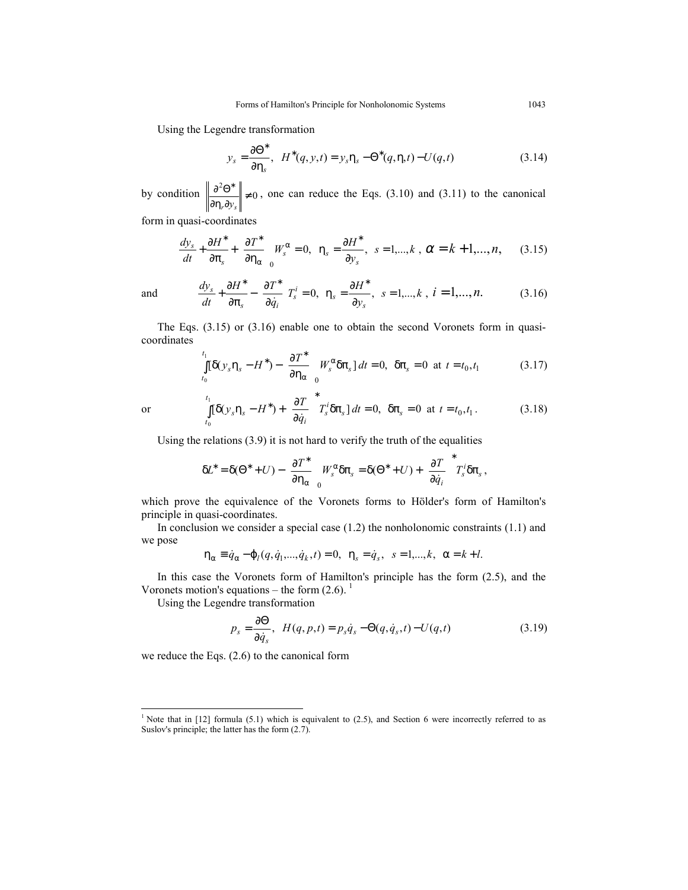Using the Legendre transformation

$$
y_s = \frac{\partial \Theta^*}{\partial \eta_s}, \quad H^*(q, y, t) = y_s \eta_s - \Theta^*(q, \eta, t) - U(q, t) \tag{3.14}
$$

by condition  $\left\| \frac{\partial^2 \Theta^*}{\partial \theta^2} \right\| \neq 0$  $\frac{\partial}{\partial \eta_r \partial y_s}$   $\neq$  $\partial^2\Theta^*$  $r \partial y_s$ , one can reduce the Eqs. (3.10) and (3.11) to the canonical

form in quasi-coordinates

$$
\frac{dy_s}{dt} + \frac{\partial H^*}{\partial \pi_s} + \left(\frac{\partial T^*}{\partial \eta_\alpha}\right)_0 W_s^\alpha = 0, \ \ \eta_s = \frac{\partial H^*}{\partial y_s}, \ \ s = 1, \dots, k \ , \ \alpha = k+1, \dots, n, \tag{3.15}
$$

and 
$$
\frac{dy_s}{dt} + \frac{\partial H^*}{\partial \pi_s} - \left(\frac{\partial T^*}{\partial \dot{q}_i}\right)T_s^i = 0, \ \ \eta_s = \frac{\partial H^*}{\partial y_s}, \ \ s = 1,...,k \ , \ i = 1,...,n. \tag{3.16}
$$

The Eqs. (3.15) or (3.16) enable one to obtain the second Voronets form in quasicoordinates

$$
\int_{t_0}^{t_1} [\delta(y_s \eta_s - H^*) - \left(\frac{\partial T^*}{\partial \eta_\alpha}\right) W_s^\alpha \delta \pi_s] dt = 0, \ \ \delta \pi_s = 0 \ \ \text{at} \ \ t = t_0, t_1 \tag{3.17}
$$

$$
\theta
$$

-

or  $\int [\delta(y_s \eta_s - H^*) + \frac{\partial T}{\partial \dot{a}}] T_s^T \delta \pi_s] dt =$  $\overline{1}$  $\lambda$ I l ſ  $\int_{0}^{1} [\delta(y_s \eta_s - H^*) + \left(\frac{\partial T}{\partial \dot{q}_i}\right)^*$  $\bf{0}$  $\left[ \delta(y_s \eta_s - H^*) + \right] \frac{\partial T}{\partial x} \left[ T_s^t \delta \pi_s \right] dt = 0,$ *t*  $\int_{t_0}^{t} \left[ \delta(y_s \eta_s - H^*) + \left( \frac{\partial T}{\partial \dot{q}_i} \right) T_s^i \delta \pi_s \right] dt$  $y_s \eta_s - H^* + \left(\frac{\partial T}{\partial \dot{q}_i}\right) T_s^i \delta \pi_s d\, = 0, \ \delta \pi_s = 0 \ \text{at} \ t = t_0, t_1.$  (3.18)

Using the relations (3.9) it is not hard to verify the truth of the equalities

$$
\delta L^* = \delta(\Theta^* + U) - \left(\frac{\partial T^*}{\partial \eta_\alpha}\right)_0 W_s^\alpha \delta \pi_s = \delta(\Theta^* + U) + \left(\frac{\partial T}{\partial \dot{q}_i}\right)^* T_s' \delta \pi_s,
$$

which prove the equivalence of the Voronets forms to Hölder's form of Hamilton's principle in quasi-coordinates.

In conclusion we consider a special case  $(1.2)$  the nonholonomic constraints  $(1.1)$  and we pose

$$
\eta_{\alpha} \equiv \dot{q}_{\alpha} - \varphi_{l}(q, \dot{q}_{1}, \ldots, \dot{q}_{k}, t) = 0, \ \ \eta_{s} = \dot{q}_{s}, \ \ s = 1, \ldots, k, \ \alpha = k + l.
$$

In this case the Voronets form of Hamilton's principle has the form (2.5), and the Voronets motion's equations – the form  $(2.6)$ .

Using the Legendre transformation

$$
p_s = \frac{\partial \Theta}{\partial \dot{q}_s}, \quad H(q, p, t) = p_s \dot{q}_s - \Theta(q, \dot{q}_s, t) - U(q, t) \tag{3.19}
$$

we reduce the Eqs. (2.6) to the canonical form

<sup>&</sup>lt;sup>1</sup> Note that in [12] formula (5.1) which is equivalent to (2.5), and Section 6 were incorrectly referred to as Suslov's principle; the latter has the form (2.7).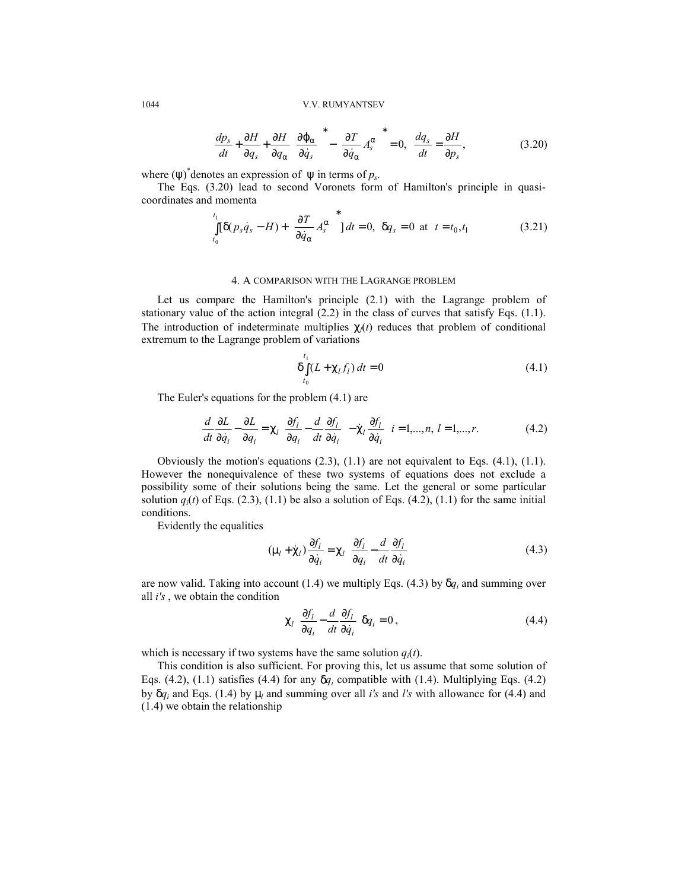$$
\frac{dp_s}{dt} + \frac{\partial H}{\partial q_s} + \frac{\partial H}{\partial q_\alpha} \left(\frac{\partial \varphi_\alpha}{\partial \dot{q}_s}\right)^* - \left(\frac{\partial T}{\partial \dot{q}_\alpha} A_s^\alpha\right)^* = 0, \quad \frac{dq_s}{dt} = \frac{\partial H}{\partial p_s},\tag{3.20}
$$

where  $(\psi)^*$  denotes an expression of  $\psi$  in terms of  $p_s$ .

The Eqs. (3.20) lead to second Voronets form of Hamilton's principle in quasicoordinates and momenta

$$
\int_{t_0}^{t_1} [\delta(p_s \dot{q}_s - H) + \left(\frac{\partial T}{\partial \dot{q}_\alpha} A_s^\alpha\right)^*] dt = 0, \ \ \delta q_s = 0 \ \ \text{at} \ \ t = t_0, t_1 \tag{3.21}
$$

### 4. A COMPARISON WITH THE LAGRANGE PROBLEM

Let us compare the Hamilton's principle (2.1) with the Lagrange problem of stationary value of the action integral  $(2.2)$  in the class of curves that satisfy Eqs.  $(1.1)$ . The introduction of indeterminate multiplies  $\chi_l(t)$  reduces that problem of conditional extremum to the Lagrange problem of variations

$$
\delta \int_{t_0}^{t_1} (L + \chi_l f_l) dt = 0
$$
\n(4.1)

The Euler's equations for the problem (4.1) are

$$
\frac{d}{dt}\frac{\partial L}{\partial \dot{q}_i} - \frac{\partial L}{\partial q_i} = \chi_l \left( \frac{\partial f_l}{\partial q_i} - \frac{d}{dt} \frac{\partial f_l}{\partial \dot{q}_i} \right) - \dot{\chi}_l \frac{\partial f_l}{\partial \dot{q}_i} \quad i = 1,...,n, l = 1,...,r.
$$
 (4.2)

Obviously the motion's equations (2.3), (1.1) are not equivalent to Eqs. (4.1), (1.1). However the nonequivalence of these two systems of equations does not exclude a possibility some of their solutions being the same. Let the general or some particular solution  $q_i(t)$  of Eqs. (2.3), (1.1) be also a solution of Eqs. (4.2), (1.1) for the same initial conditions.

Evidently the equalities

$$
(\mu_l + \dot{\chi}_l) \frac{\partial f_l}{\partial \dot{q}_i} = \chi_l \left( \frac{\partial f_l}{\partial q_i} - \frac{d}{dt} \frac{\partial f_l}{\partial \dot{q}_i} \right)
$$
(4.3)

are now valid. Taking into account (1.4) we multiply Eqs. (4.3) by  $\delta q_i$  and summing over all *i's* , we obtain the condition

$$
\chi_{l} \left( \frac{\partial f_{l}}{\partial q_{i}} - \frac{d}{dt} \frac{\partial f_{l}}{\partial \dot{q}_{i}} \right) \delta q_{i} = 0, \qquad (4.4)
$$

which is necessary if two systems have the same solution  $q_i(t)$ .

This condition is also sufficient. For proving this, let us assume that some solution of Eqs. (4.2), (1.1) satisfies (4.4) for any  $\delta q_i$  compatible with (1.4). Multiplying Eqs. (4.2) by δ*qi* and Eqs. (1.4) by µ*l* and summing over all *i's* and *l's* with allowance for (4.4) and (1.4) we obtain the relationship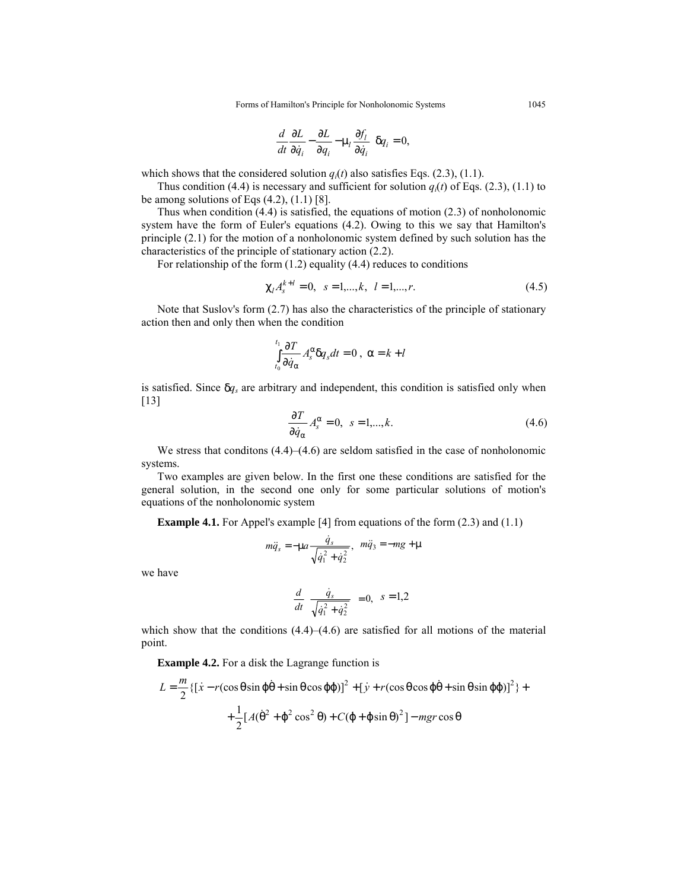$$
\left(\frac{d}{dt}\frac{\partial L}{\partial \dot{q}_i} - \frac{\partial L}{\partial q_i} - \mu_l \frac{\partial f_l}{\partial \dot{q}_i}\right) \delta q_i = 0,
$$

which shows that the considered solution  $q_i(t)$  also satisfies Eqs. (2.3), (1.1).

Thus condition (4.4) is necessary and sufficient for solution  $q_i(t)$  of Eqs. (2.3), (1.1) to be among solutions of Eqs  $(4.2)$ ,  $(1.1)$   $[8]$ .

Thus when condition (4.4) is satisfied, the equations of motion (2.3) of nonholonomic system have the form of Euler's equations (4.2). Owing to this we say that Hamilton's principle (2.1) for the motion of a nonholonomic system defined by such solution has the characteristics of the principle of stationary action (2.2).

For relationship of the form (1.2) equality (4.4) reduces to conditions

$$
\chi_l A_s^{k+l} = 0, \quad s = 1, \dots, k, \quad l = 1, \dots, r. \tag{4.5}
$$

Note that Suslov's form (2.7) has also the characteristics of the principle of stationary action then and only then when the condition

$$
\int_{t_0}^{t_1} \frac{\partial T}{\partial \dot{q}_\alpha} A_s^{\alpha} \delta q_s dt = 0 , \ \alpha = k + l
$$

is satisfied. Since δ*qs* are arbitrary and independent, this condition is satisfied only when [13]

$$
\frac{\partial T}{\partial \dot{q}_{\alpha}} A_s^{\alpha} = 0, \quad s = 1, \dots, k. \tag{4.6}
$$

We stress that conditions  $(4.4)$ – $(4.6)$  are seldom satisfied in the case of nonholonomic systems.

Two examples are given below. In the first one these conditions are satisfied for the general solution, in the second one only for some particular solutions of motion's equations of the nonholonomic system

**Example 4.1.** For Appel's example [4] from equations of the form (2.3) and (1.1)

$$
m\ddot{q}_s = -\mu a \frac{\dot{q}_s}{\sqrt{\dot{q}_1^2 + \dot{q}_2^2}}, \ \ m\ddot{q}_3 = -mg + \mu
$$

we have

$$
\frac{d}{dt}\left(\frac{\dot{q}_s}{\sqrt{\dot{q}_1^2 + \dot{q}_2^2}}\right) = 0, \quad s = 1, 2
$$

which show that the conditions  $(4.4)$ – $(4.6)$  are satisfied for all motions of the material point.

**Example 4.2.** For a disk the Lagrange function is

$$
L = \frac{m}{2} \{ [\dot{x} - r(\cos\theta \sin\phi\dot{\theta} + \sin\theta \cos\phi\dot{\phi})]^2 + [\dot{y} + r(\cos\theta \cos\phi\dot{\theta} + \sin\theta \sin\phi\dot{\phi})]^2 \} +
$$
  
+ 
$$
\frac{1}{2} [A(\dot{\theta}^2 + \dot{\phi}^2 \cos^2\theta) + C(\dot{\phi} + \dot{\phi}\sin\theta)^2] - mgr \cos\theta
$$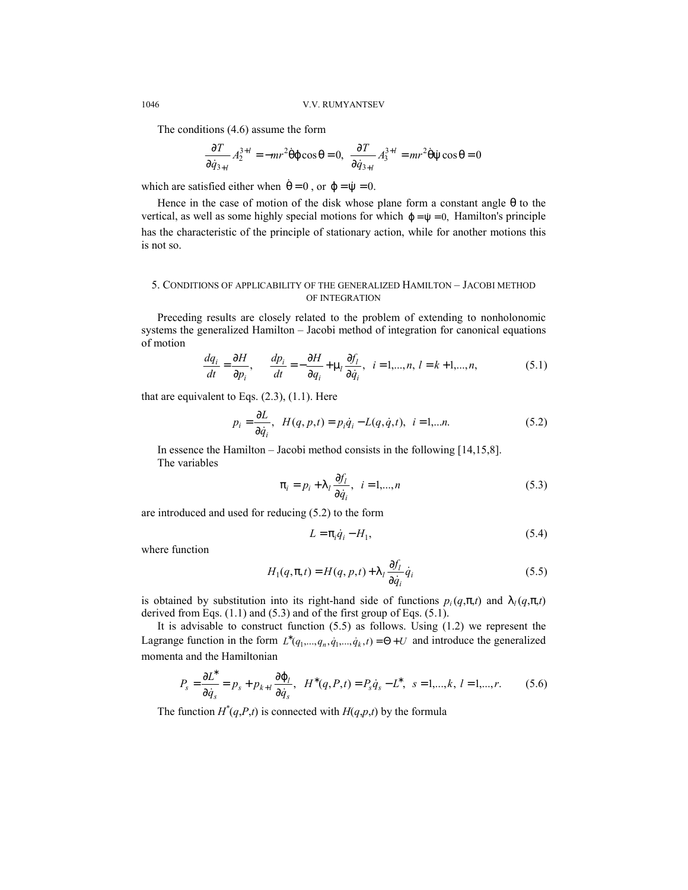The conditions (4.6) assume the form

$$
\frac{\partial T}{\partial \dot{q}_{3+l}} A_2^{3+l} = -mr^2 \dot{\theta} \dot{\phi} \cos \theta = 0, \ \ \frac{\partial T}{\partial \dot{q}_{3+l}} A_3^{3+l} = mr^2 \dot{\theta} \dot{\psi} \cos \theta = 0
$$

which are satisfied either when  $\dot{\theta} = 0$ , or  $\dot{\phi} = \dot{\psi} = 0$ .

Hence in the case of motion of the disk whose plane form a constant angle  $\theta$  to the vertical, as well as some highly special motions for which  $\dot{\varphi} = \dot{\psi} = 0$ , Hamilton's principle has the characteristic of the principle of stationary action, while for another motions this is not so.

## 5. CONDITIONS OF APPLICABILITY OF THE GENERALIZED HAMILTON – JACOBI METHOD OF INTEGRATION

Preceding results are closely related to the problem of extending to nonholonomic systems the generalized Hamilton – Jacobi method of integration for canonical equations of motion

$$
\frac{dq_i}{dt} = \frac{\partial H}{\partial p_i}, \qquad \frac{dp_i}{dt} = -\frac{\partial H}{\partial q_i} + \mu_l \frac{\partial f_l}{\partial \dot{q}_i}, \quad i = 1, \dots, n, \ l = k+1, \dots, n,
$$
\n(5.1)

that are equivalent to Eqs.  $(2.3)$ ,  $(1.1)$ . Here

$$
p_i = \frac{\partial L}{\partial \dot{q}_i}, \quad H(q, p, t) = p_i \dot{q}_i - L(q, \dot{q}, t), \quad i = 1, \dots n. \tag{5.2}
$$

In essence the Hamilton – Jacobi method consists in the following [14,15,8]. The variables

$$
\pi_i = p_i + \lambda_i \frac{\partial f_i}{\partial \dot{q}_i}, \quad i = 1, \dots, n
$$
\n(5.3)

are introduced and used for reducing (5.2) to the form

$$
L = \pi_i \dot{q}_i - H_1,\tag{5.4}
$$

where function

$$
H_1(q, \pi, t) = H(q, p, t) + \lambda_l \frac{\partial f_l}{\partial \dot{q}_i} \dot{q}_i
$$
\n(5.5)

is obtained by substitution into its right-hand side of functions  $p_i(q,\pi,t)$  and  $\lambda_i(q,\pi,t)$ derived from Eqs.  $(1.1)$  and  $(5.3)$  and of the first group of Eqs.  $(5.1)$ .

It is advisable to construct function (5.5) as follows. Using (1.2) we represent the Lagrange function in the form  $L^*(q_1,...,q_n,\dot{q}_1,...,\dot{q}_k,t) = \Theta + U$  and introduce the generalized momenta and the Hamiltonian

$$
P_s = \frac{\partial L^*}{\partial \dot{q}_s} = p_s + p_{k+l} \frac{\partial \varphi_l}{\partial \dot{q}_s}, \quad H^*(q, P, t) = P_s \dot{q}_s - L^*, \quad s = 1, \dots, k, \quad l = 1, \dots, r. \tag{5.6}
$$

The function  $H^*(q, P, t)$  is connected with  $H(q, p, t)$  by the formula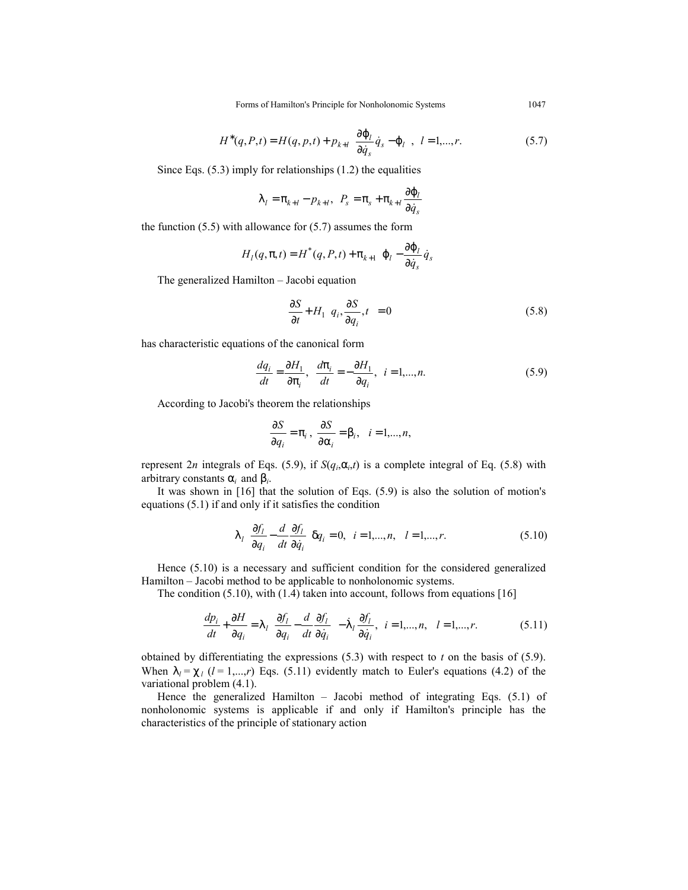$$
H^*(q, P, t) = H(q, p, t) + p_{k+l} \left( \frac{\partial \varphi_l}{\partial \dot{q}_s} \dot{q}_s - \varphi_l \right) \quad l = 1, \dots, r. \tag{5.7}
$$

Since Eqs.  $(5.3)$  imply for relationships  $(1.2)$  the equalities

$$
\lambda_l = \pi_{k+l} - p_{k+l}, \ \ P_s = \pi_s + \pi_{k+l} \frac{\partial \varphi_l}{\partial \dot{q}_s}
$$

the function  $(5.5)$  with allowance for  $(5.7)$  assumes the form

$$
H_{l}(q,\pi,t) = H^{*}(q, P, t) + \pi_{k+1}\left(\varphi_{l} - \frac{\partial \varphi_{l}}{\partial \dot{q}_{s}}\dot{q}_{s}\right)
$$

The generalized Hamilton – Jacobi equation

$$
\frac{\partial S}{\partial t} + H_1 \left( q_i, \frac{\partial S}{\partial q_i}, t \right) = 0 \tag{5.8}
$$

has characteristic equations of the canonical form

$$
\frac{dq_i}{dt} = \frac{\partial H_1}{\partial \pi_i}, \quad \frac{d\pi_i}{dt} = -\frac{\partial H_1}{\partial q_i}, \quad i = 1,...,n.
$$
\n(5.9)

According to Jacobi's theorem the relationships

 $\overline{a}$ 

$$
\frac{\partial S}{\partial q_i} = \pi_i , \frac{\partial S}{\partial \alpha_i} = \beta_i , \quad i = 1,...,n,
$$

represent 2*n* integrals of Eqs. (5.9), if  $S(q_i, \alpha_i, t)$  is a complete integral of Eq. (5.8) with arbitrary constants α*i* and β*i*.

It was shown in [16] that the solution of Eqs. (5.9) is also the solution of motion's equations (5.1) if and only if it satisfies the condition

$$
\lambda_l \left( \frac{\partial f_l}{\partial q_i} - \frac{d}{dt} \frac{\partial f_l}{\partial \dot{q}_i} \right) q_i = 0, \quad i = 1, \dots, n, \quad l = 1, \dots, r. \tag{5.10}
$$

Hence (5.10) is a necessary and sufficient condition for the considered generalized Hamilton – Jacobi method to be applicable to nonholonomic systems.

The condition  $(5.10)$ , with  $(1.4)$  taken into account, follows from equations [16]  $\ddot{\phantom{a}}$ 

$$
\frac{dp_i}{dt} + \frac{\partial H}{\partial q_i} = \lambda_l \left( \frac{\partial f_l}{\partial q_i} - \frac{d}{dt} \frac{\partial f_l}{\partial \dot{q}_i} \right) - \lambda_l \frac{\partial f_l}{\partial \dot{q}_i}, \quad i = 1,...,n, \quad l = 1,...,r. \tag{5.11}
$$

obtained by differentiating the expressions (5.3) with respect to *t* on the basis of (5.9). When  $\lambda_i = \chi_i$  ( $l = 1,...,r$ ) Eqs. (5.11) evidently match to Euler's equations (4.2) of the variational problem (4.1).

Hence the generalized Hamilton – Jacobi method of integrating Eqs. (5.1) of nonholonomic systems is applicable if and only if Hamilton's principle has the characteristics of the principle of stationary action